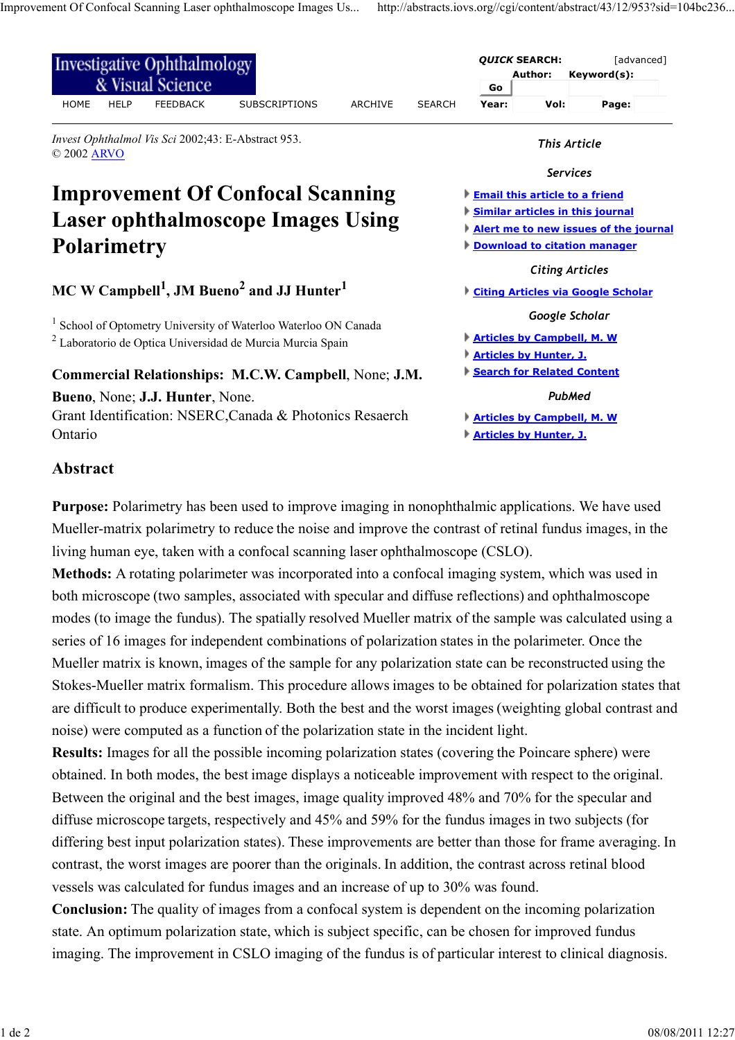| <b>Investigative Ophthalmology</b><br>& Visual Science                                              |               |                                   | <b>QUICK SEARCH:</b><br>Author:                                                  | [advanced]<br>Keyword(s): |  |                                           |
|-----------------------------------------------------------------------------------------------------|---------------|-----------------------------------|----------------------------------------------------------------------------------|---------------------------|--|-------------------------------------------|
| <b>HELP</b><br><b>FEEDBACK</b><br><b>HOME</b><br><b>SUBSCRIPTIONS</b><br><b>ARCHIVE</b>             | <b>SEARCH</b> | Go<br>Year:                       | Vol:                                                                             | Page:                     |  |                                           |
| Invest Ophthalmol Vis Sci 2002;43: E-Abstract 953.<br>© 2002 ARVO                                   |               |                                   | This Article                                                                     |                           |  |                                           |
|                                                                                                     |               |                                   | <b>Services</b>                                                                  |                           |  |                                           |
| <b>Improvement Of Confocal Scanning</b><br><b>Laser ophthalmoscope Images Using</b>                 |               |                                   | <b>Email this article to a friend</b><br><b>Similar articles in this journal</b> |                           |  |                                           |
|                                                                                                     |               |                                   | Alert me to new issues of the journal                                            |                           |  |                                           |
| <b>Polarimetry</b><br>MC W Campbell <sup>1</sup> , JM Bueno <sup>2</sup> and JJ Hunter <sup>1</sup> |               |                                   | <b>Download to citation manager</b><br><b>Citing Articles</b>                    |                           |  |                                           |
|                                                                                                     |               |                                   |                                                                                  |                           |  | <b>Citing Articles via Google Scholar</b> |
|                                                                                                     |               |                                   | School of Optometry University of Waterloo Waterloo ON Canada                    |                           |  | Google Scholar                            |
| <sup>2</sup> Laboratorio de Optica Universidad de Murcia Murcia Spain                               |               | <b>Articles by Campbell, M. W</b> |                                                                                  |                           |  |                                           |
|                                                                                                     |               | <b>Articles by Hunter, J.</b>     |                                                                                  |                           |  |                                           |
| Commercial Relationships: M.C.W. Campbell, None; J.M.                                               |               |                                   | Search for Related Content                                                       |                           |  |                                           |
| Bueno, None; J.J. Hunter, None.                                                                     |               |                                   | PubMed                                                                           |                           |  |                                           |
| Grant Identification: NSERC, Canada & Photonics Resaerch                                            |               | <b>Articles by Campbell, M. W</b> |                                                                                  |                           |  |                                           |
| Ontario                                                                                             |               | Articles by Hunter, J.            |                                                                                  |                           |  |                                           |

**Abstract**

**Purpose:** Polarimetry has been used to improve imaging in nonophthalmic applications. We have used Mueller-matrix polarimetry to reduce the noise and improve the contrast of retinal fundus images, in the living human eye, taken with a confocal scanning laser ophthalmoscope (CSLO).

**Methods:** A rotating polarimeter was incorporated into a confocal imaging system, which was used in both microscope (two samples, associated with specular and diffuse reflections) and ophthalmoscope modes (to image the fundus). The spatially resolved Mueller matrix of the sample was calculated using a series of 16 images for independent combinations of polarization states in the polarimeter. Once the Mueller matrix is known, images of the sample for any polarization state can be reconstructed using the Stokes-Mueller matrix formalism. This procedure allows images to be obtained for polarization states that are difficult to produce experimentally. Both the best and the worst images (weighting global contrast and noise) were computed as a function of the polarization state in the incident light.

**Results:** Images for all the possible incoming polarization states (covering the Poincare sphere) were obtained. In both modes, the best image displays a noticeable improvement with respect to the original. Between the original and the best images, image quality improved 48% and 70% for the specular and diffuse microscope targets, respectively and 45% and 59% for the fundus images in two subjects (for differing best input polarization states). These improvements are better than those for frame averaging. In contrast, the worst images are poorer than the originals. In addition, the contrast across retinal blood vessels was calculated for fundus images and an increase of up to 30% was found.

**Conclusion:** The quality of images from a confocal system is dependent on the incoming polarization state. An optimum polarization state, which is subject specific, can be chosen for improved fundus imaging. The improvement in CSLO imaging of the fundus is of particular interest to clinical diagnosis.